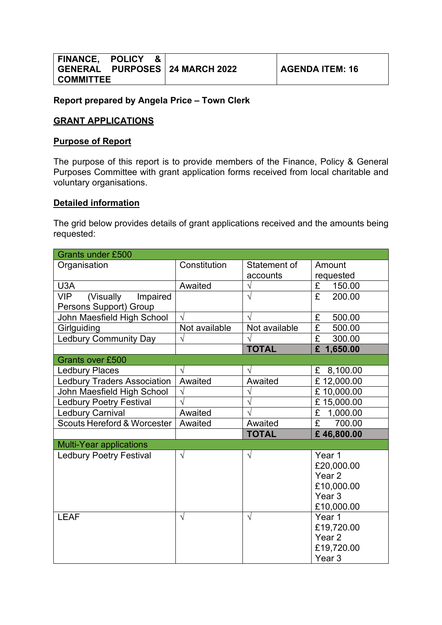|                  | FINANCE, POLICY & |                                  |
|------------------|-------------------|----------------------------------|
|                  |                   | GENERAL PURPOSES   24 MARCH 2022 |
| <b>COMMITTEE</b> |                   |                                  |

#### **GRANT APPLICATIONS**

#### **Purpose of Report**

The purpose of this report is to provide members of the Finance, Policy & General Purposes Committee with grant application forms received from local charitable and voluntary organisations.

#### **Detailed information**

The grid below provides details of grant applications received and the amounts being requested:

| <b>Grants under £500</b>               |               |               |                                   |
|----------------------------------------|---------------|---------------|-----------------------------------|
| Organisation                           | Constitution  | Statement of  | Amount                            |
|                                        |               | accounts      | requested                         |
| U3A                                    | Awaited       | $\sqrt{}$     | £<br>150.00                       |
| <b>VIP</b><br>(Visually<br>Impaired    |               | $\sqrt{}$     | $\overline{\mathrm{f}}$<br>200.00 |
| Persons Support) Group                 |               |               |                                   |
| John Maesfield High School             | $\sqrt{ }$    | V             | 500.00<br>£                       |
| Girlguiding                            | Not available | Not available | $\overline{\mathbf{f}}$<br>500.00 |
| <b>Ledbury Community Day</b>           | $\sqrt{2}$    | $\sqrt{}$     | $\overline{\mathrm{f}}$<br>300.00 |
|                                        |               | <b>TOTAL</b>  | £ 1,650.00                        |
| <b>Grants over £500</b>                |               |               |                                   |
| <b>Ledbury Places</b>                  | $\sqrt{ }$    | $\sqrt{ }$    | 8,100.00<br>£                     |
| <b>Ledbury Traders Association</b>     | Awaited       | Awaited       | £12,000.00                        |
| John Maesfield High School             | V             |               | £10,000.00                        |
| <b>Ledbury Poetry Festival</b>         |               | V             | £15,000.00                        |
| <b>Ledbury Carnival</b>                | Awaited       | V             | £<br>1,000.00                     |
| <b>Scouts Hereford &amp; Worcester</b> | Awaited       | Awaited       | £<br>700.00                       |
|                                        |               | <b>TOTAL</b>  | £46,800.00                        |
| <b>Multi-Year applications</b>         |               |               |                                   |
| <b>Ledbury Poetry Festival</b>         | $\sqrt{ }$    | $\sqrt{ }$    | Year 1                            |
|                                        |               |               | £20,000.00                        |
|                                        |               |               | Year 2                            |
|                                        |               |               | £10,000.00                        |
|                                        |               |               | Year <sub>3</sub>                 |
|                                        |               |               | £10,000.00                        |
| <b>LEAF</b>                            | $\sqrt{ }$    | $\sqrt{}$     | Year 1                            |
|                                        |               |               | £19,720.00                        |
|                                        |               |               | Year <sub>2</sub>                 |
|                                        |               |               | £19,720.00                        |
|                                        |               |               | Year <sub>3</sub>                 |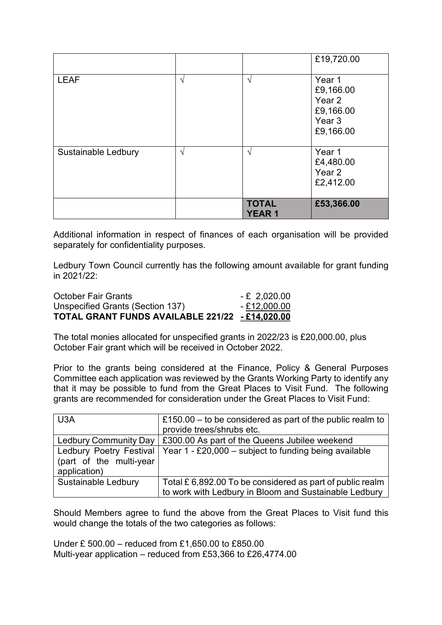|                     |               |                              | £19,720.00                                                                   |
|---------------------|---------------|------------------------------|------------------------------------------------------------------------------|
| <b>LEAF</b>         | $\sqrt{ }$    | $\sqrt{ }$                   | Year 1<br>£9,166.00<br>Year 2<br>£9,166.00<br>Year <sub>3</sub><br>£9,166.00 |
| Sustainable Ledbury | $\mathcal{N}$ | $\mathcal{A}$                | Year 1<br>£4,480.00<br>Year 2<br>£2,412.00                                   |
|                     |               | <b>TOTAL</b><br><b>YEAR1</b> | £53,366.00                                                                   |

Additional information in respect of finances of each organisation will be provided separately for confidentiality purposes.

Ledbury Town Council currently has the following amount available for grant funding in 2021/22:

| <b>October Fair Grants</b>                      | $-E$ 2,020.00 |
|-------------------------------------------------|---------------|
| Unspecified Grants (Section 137)                | $-£12,000.00$ |
| TOTAL GRANT FUNDS AVAILABLE 221/22 - £14,020.00 |               |

The total monies allocated for unspecified grants in 2022/23 is £20,000.00, plus October Fair grant which will be received in October 2022.

Prior to the grants being considered at the Finance, Policy & General Purposes Committee each application was reviewed by the Grants Working Party to identify any that it may be possible to fund from the Great Places to Visit Fund. The following grants are recommended for consideration under the Great Places to Visit Fund:

| U <sub>3</sub> A                                                   | £150.00 – to be considered as part of the public realm to<br>provide trees/shrubs etc.                             |
|--------------------------------------------------------------------|--------------------------------------------------------------------------------------------------------------------|
| <b>Ledbury Community Day</b>                                       | £300.00 As part of the Queens Jubilee weekend                                                                      |
| Ledbury Poetry Festival<br>(part of the multi-year<br>application) | Year $1 - £20,000 -$ subject to funding being available                                                            |
| Sustainable Ledbury                                                | Total £ 6,892.00 To be considered as part of public realm<br>to work with Ledbury in Bloom and Sustainable Ledbury |

Should Members agree to fund the above from the Great Places to Visit fund this would change the totals of the two categories as follows:

Under £ 500.00 – reduced from £1,650.00 to £850.00 Multi-year application – reduced from £53,366 to £26,4774.00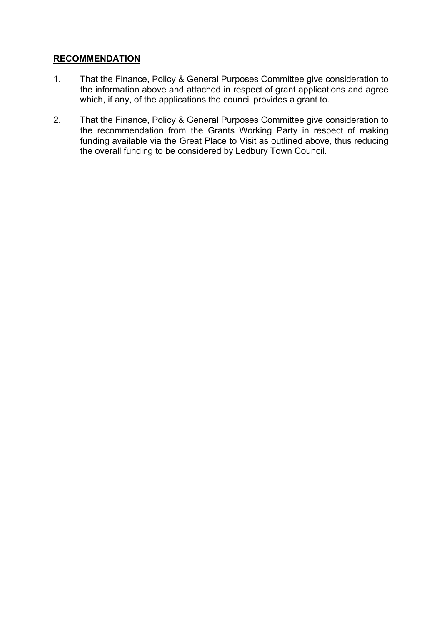# **RECOMMENDATION**

- 1. That the Finance, Policy & General Purposes Committee give consideration to the information above and attached in respect of grant applications and agree which, if any, of the applications the council provides a grant to.
- 2. That the Finance, Policy & General Purposes Committee give consideration to the recommendation from the Grants Working Party in respect of making funding available via the Great Place to Visit as outlined above, thus reducing the overall funding to be considered by Ledbury Town Council.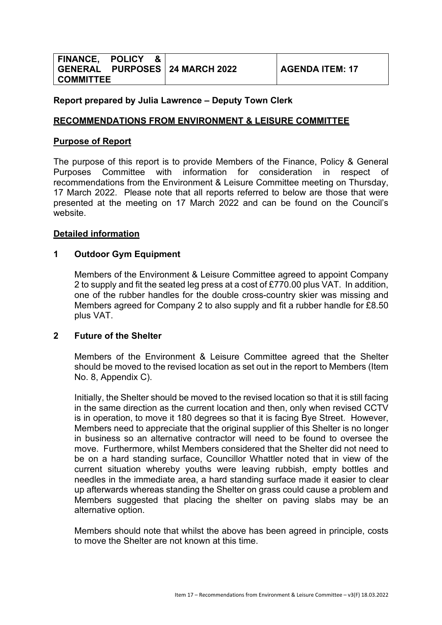|                  | FINANCE, POLICY & |                                  |
|------------------|-------------------|----------------------------------|
|                  |                   | GENERAL PURPOSES   24 MARCH 2022 |
| <b>COMMITTEE</b> |                   |                                  |

# **Report prepared by Julia Lawrence – Deputy Town Clerk**

# **RECOMMENDATIONS FROM ENVIRONMENT & LEISURE COMMITTEE**

# **Purpose of Report**

The purpose of this report is to provide Members of the Finance, Policy & General Purposes Committee with information for consideration in respect of recommendations from the Environment & Leisure Committee meeting on Thursday, 17 March 2022. Please note that all reports referred to below are those that were presented at the meeting on 17 March 2022 and can be found on the Council's website.

# **Detailed information**

#### **1 Outdoor Gym Equipment**

Members of the Environment & Leisure Committee agreed to appoint Company 2 to supply and fit the seated leg press at a cost of £770.00 plus VAT. In addition, one of the rubber handles for the double cross-country skier was missing and Members agreed for Company 2 to also supply and fit a rubber handle for £8.50 plus VAT.

#### **2 Future of the Shelter**

Members of the Environment & Leisure Committee agreed that the Shelter should be moved to the revised location as set out in the report to Members (Item No. 8, Appendix C).

Initially, the Shelter should be moved to the revised location so that it is still facing in the same direction as the current location and then, only when revised CCTV is in operation, to move it 180 degrees so that it is facing Bye Street. However, Members need to appreciate that the original supplier of this Shelter is no longer in business so an alternative contractor will need to be found to oversee the move. Furthermore, whilst Members considered that the Shelter did not need to be on a hard standing surface, Councillor Whattler noted that in view of the current situation whereby youths were leaving rubbish, empty bottles and needles in the immediate area, a hard standing surface made it easier to clear up afterwards whereas standing the Shelter on grass could cause a problem and Members suggested that placing the shelter on paving slabs may be an alternative option.

Members should note that whilst the above has been agreed in principle, costs to move the Shelter are not known at this time.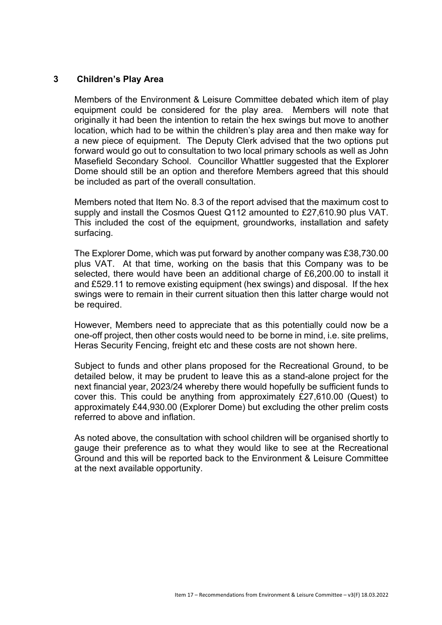# **3 Children's Play Area**

Members of the Environment & Leisure Committee debated which item of play equipment could be considered for the play area. Members will note that originally it had been the intention to retain the hex swings but move to another location, which had to be within the children's play area and then make way for a new piece of equipment. The Deputy Clerk advised that the two options put forward would go out to consultation to two local primary schools as well as John Masefield Secondary School. Councillor Whattler suggested that the Explorer Dome should still be an option and therefore Members agreed that this should be included as part of the overall consultation.

Members noted that Item No. 8.3 of the report advised that the maximum cost to supply and install the Cosmos Quest Q112 amounted to £27,610.90 plus VAT. This included the cost of the equipment, groundworks, installation and safety surfacing.

The Explorer Dome, which was put forward by another company was £38,730.00 plus VAT. At that time, working on the basis that this Company was to be selected, there would have been an additional charge of £6,200.00 to install it and £529.11 to remove existing equipment (hex swings) and disposal. If the hex swings were to remain in their current situation then this latter charge would not be required.

However, Members need to appreciate that as this potentially could now be a one-off project, then other costs would need to be borne in mind, i.e. site prelims, Heras Security Fencing, freight etc and these costs are not shown here.

Subject to funds and other plans proposed for the Recreational Ground, to be detailed below, it may be prudent to leave this as a stand-alone project for the next financial year, 2023/24 whereby there would hopefully be sufficient funds to cover this. This could be anything from approximately £27,610.00 (Quest) to approximately £44,930.00 (Explorer Dome) but excluding the other prelim costs referred to above and inflation.

As noted above, the consultation with school children will be organised shortly to gauge their preference as to what they would like to see at the Recreational Ground and this will be reported back to the Environment & Leisure Committee at the next available opportunity.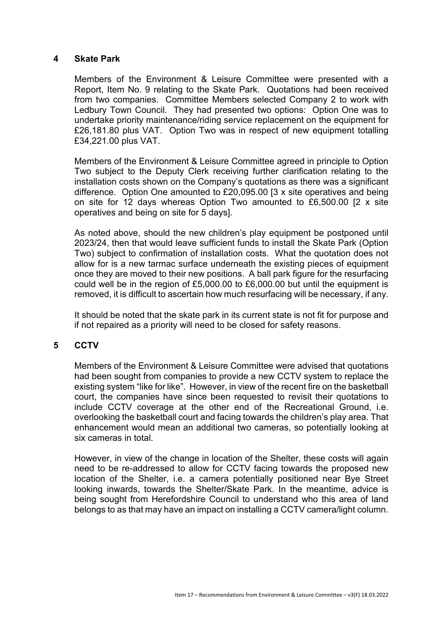#### **4 Skate Park**

Members of the Environment & Leisure Committee were presented with a Report, Item No. 9 relating to the Skate Park. Quotations had been received from two companies. Committee Members selected Company 2 to work with Ledbury Town Council. They had presented two options: Option One was to undertake priority maintenance/riding service replacement on the equipment for £26,181.80 plus VAT. Option Two was in respect of new equipment totalling £34,221.00 plus VAT.

Members of the Environment & Leisure Committee agreed in principle to Option Two subject to the Deputy Clerk receiving further clarification relating to the installation costs shown on the Company's quotations as there was a significant difference. Option One amounted to £20,095.00 [3 x site operatives and being on site for 12 days whereas Option Two amounted to £6,500.00 [2 x site operatives and being on site for 5 days].

As noted above, should the new children's play equipment be postponed until 2023/24, then that would leave sufficient funds to install the Skate Park (Option Two) subject to confirmation of installation costs. What the quotation does not allow for is a new tarmac surface underneath the existing pieces of equipment once they are moved to their new positions. A ball park figure for the resurfacing could well be in the region of £5,000.00 to £6,000.00 but until the equipment is removed, it is difficult to ascertain how much resurfacing will be necessary, if any.

It should be noted that the skate park in its current state is not fit for purpose and if not repaired as a priority will need to be closed for safety reasons.

# **5 CCTV**

Members of the Environment & Leisure Committee were advised that quotations had been sought from companies to provide a new CCTV system to replace the existing system "like for like". However, in view of the recent fire on the basketball court, the companies have since been requested to revisit their quotations to include CCTV coverage at the other end of the Recreational Ground, i.e. overlooking the basketball court and facing towards the children's play area. That enhancement would mean an additional two cameras, so potentially looking at six cameras in total.

However, in view of the change in location of the Shelter, these costs will again need to be re-addressed to allow for CCTV facing towards the proposed new location of the Shelter, i.e. a camera potentially positioned near Bye Street looking inwards, towards the Shelter/Skate Park. In the meantime, advice is being sought from Herefordshire Council to understand who this area of land belongs to as that may have an impact on installing a CCTV camera/light column.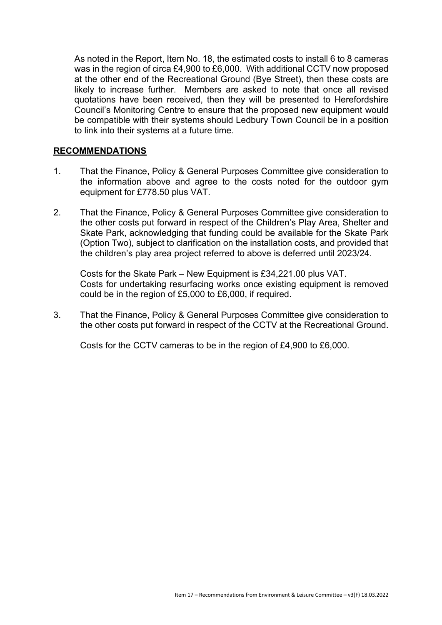As noted in the Report, Item No. 18, the estimated costs to install 6 to 8 cameras was in the region of circa £4,900 to £6,000. With additional CCTV now proposed at the other end of the Recreational Ground (Bye Street), then these costs are likely to increase further. Members are asked to note that once all revised quotations have been received, then they will be presented to Herefordshire Council's Monitoring Centre to ensure that the proposed new equipment would be compatible with their systems should Ledbury Town Council be in a position to link into their systems at a future time.

#### **RECOMMENDATIONS**

- 1. That the Finance, Policy & General Purposes Committee give consideration to the information above and agree to the costs noted for the outdoor gym equipment for £778.50 plus VAT.
- 2. That the Finance, Policy & General Purposes Committee give consideration to the other costs put forward in respect of the Children's Play Area, Shelter and Skate Park, acknowledging that funding could be available for the Skate Park (Option Two), subject to clarification on the installation costs, and provided that the children's play area project referred to above is deferred until 2023/24.

Costs for the Skate Park – New Equipment is £34,221.00 plus VAT. Costs for undertaking resurfacing works once existing equipment is removed could be in the region of £5,000 to £6,000, if required.

3. That the Finance, Policy & General Purposes Committee give consideration to the other costs put forward in respect of the CCTV at the Recreational Ground.

Costs for the CCTV cameras to be in the region of £4,900 to £6,000.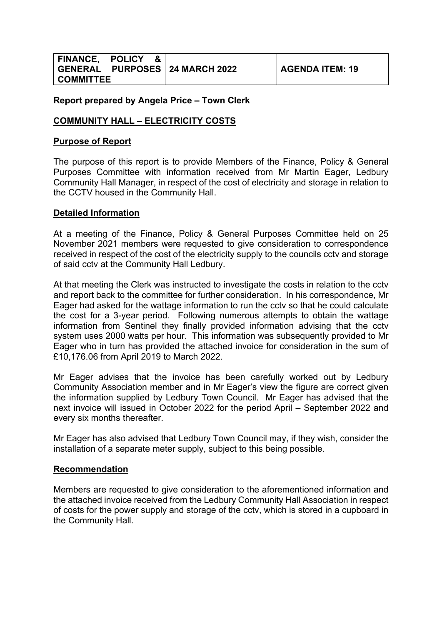|                  | FINANCE, POLICY & |                                  |
|------------------|-------------------|----------------------------------|
|                  |                   | GENERAL PURPOSES   24 MARCH 2022 |
| <b>COMMITTEE</b> |                   |                                  |

# **COMMUNITY HALL – ELECTRICITY COSTS**

# **Purpose of Report**

The purpose of this report is to provide Members of the Finance, Policy & General Purposes Committee with information received from Mr Martin Eager, Ledbury Community Hall Manager, in respect of the cost of electricity and storage in relation to the CCTV housed in the Community Hall.

# **Detailed Information**

At a meeting of the Finance, Policy & General Purposes Committee held on 25 November 2021 members were requested to give consideration to correspondence received in respect of the cost of the electricity supply to the councils cctv and storage of said cctv at the Community Hall Ledbury.

At that meeting the Clerk was instructed to investigate the costs in relation to the cctv and report back to the committee for further consideration. In his correspondence, Mr Eager had asked for the wattage information to run the cctv so that he could calculate the cost for a 3-year period. Following numerous attempts to obtain the wattage information from Sentinel they finally provided information advising that the cctv system uses 2000 watts per hour. This information was subsequently provided to Mr Eager who in turn has provided the attached invoice for consideration in the sum of £10,176.06 from April 2019 to March 2022.

Mr Eager advises that the invoice has been carefully worked out by Ledbury Community Association member and in Mr Eager's view the figure are correct given the information supplied by Ledbury Town Council. Mr Eager has advised that the next invoice will issued in October 2022 for the period April – September 2022 and every six months thereafter.

Mr Eager has also advised that Ledbury Town Council may, if they wish, consider the installation of a separate meter supply, subject to this being possible.

# **Recommendation**

Members are requested to give consideration to the aforementioned information and the attached invoice received from the Ledbury Community Hall Association in respect of costs for the power supply and storage of the cctv, which is stored in a cupboard in the Community Hall.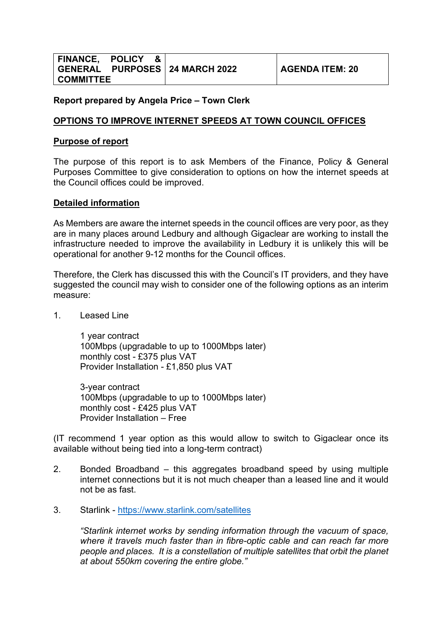|                  | FINANCE, POLICY & |                                |
|------------------|-------------------|--------------------------------|
|                  |                   | GENERAL PURPOSES 24 MARCH 2022 |
| <b>COMMITTEE</b> |                   |                                |

#### **OPTIONS TO IMPROVE INTERNET SPEEDS AT TOWN COUNCIL OFFICES**

#### **Purpose of report**

The purpose of this report is to ask Members of the Finance, Policy & General Purposes Committee to give consideration to options on how the internet speeds at the Council offices could be improved.

#### **Detailed information**

As Members are aware the internet speeds in the council offices are very poor, as they are in many places around Ledbury and although Gigaclear are working to install the infrastructure needed to improve the availability in Ledbury it is unlikely this will be operational for another 9-12 months for the Council offices.

Therefore, the Clerk has discussed this with the Council's IT providers, and they have suggested the council may wish to consider one of the following options as an interim measure:

1. Leased Line

1 year contract 100Mbps (upgradable to up to 1000Mbps later) monthly cost - £375 plus VAT Provider Installation - £1,850 plus VAT

3-year contract 100Mbps (upgradable to up to 1000Mbps later) monthly cost - £425 plus VAT Provider Installation – Free

(IT recommend 1 year option as this would allow to switch to Gigaclear once its available without being tied into a long-term contract)

- 2. Bonded Broadband this aggregates broadband speed by using multiple internet connections but it is not much cheaper than a leased line and it would not be as fast.
- 3. Starlink <https://www.starlink.com/satellites>

*"Starlink internet works by sending information through the vacuum of space, where it travels much faster than in fibre-optic cable and can reach far more people and places. It is a constellation of multiple satellites that orbit the planet at about 550km covering the entire globe."*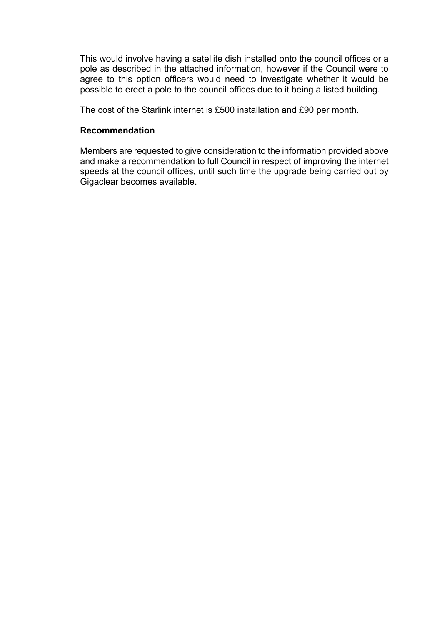This would involve having a satellite dish installed onto the council offices or a pole as described in the attached information, however if the Council were to agree to this option officers would need to investigate whether it would be possible to erect a pole to the council offices due to it being a listed building.

The cost of the Starlink internet is £500 installation and £90 per month.

#### **Recommendation**

Members are requested to give consideration to the information provided above and make a recommendation to full Council in respect of improving the internet speeds at the council offices, until such time the upgrade being carried out by Gigaclear becomes available.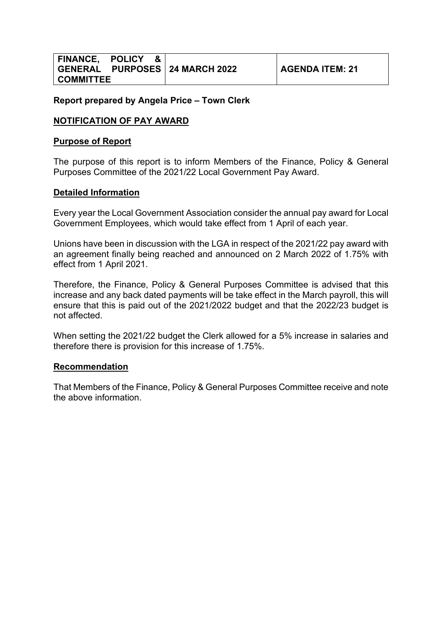|                  | FINANCE, POLICY & |                                  |
|------------------|-------------------|----------------------------------|
|                  |                   | GENERAL PURPOSES   24 MARCH 2022 |
| <b>COMMITTEE</b> |                   |                                  |

# **NOTIFICATION OF PAY AWARD**

# **Purpose of Report**

The purpose of this report is to inform Members of the Finance, Policy & General Purposes Committee of the 2021/22 Local Government Pay Award.

# **Detailed Information**

Every year the Local Government Association consider the annual pay award for Local Government Employees, which would take effect from 1 April of each year.

Unions have been in discussion with the LGA in respect of the 2021/22 pay award with an agreement finally being reached and announced on 2 March 2022 of 1.75% with effect from 1 April 2021.

Therefore, the Finance, Policy & General Purposes Committee is advised that this increase and any back dated payments will be take effect in the March payroll, this will ensure that this is paid out of the 2021/2022 budget and that the 2022/23 budget is not affected.

When setting the 2021/22 budget the Clerk allowed for a 5% increase in salaries and therefore there is provision for this increase of 1.75%.

# **Recommendation**

That Members of the Finance, Policy & General Purposes Committee receive and note the above information.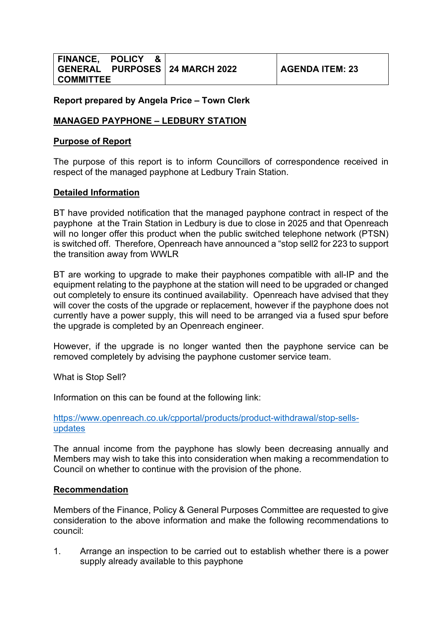|                  | FINANCE, POLICY & |                                |
|------------------|-------------------|--------------------------------|
|                  |                   | GENERAL PURPOSES 24 MARCH 2022 |
| <b>COMMITTEE</b> |                   |                                |

# **MANAGED PAYPHONE – LEDBURY STATION**

#### **Purpose of Report**

The purpose of this report is to inform Councillors of correspondence received in respect of the managed payphone at Ledbury Train Station.

# **Detailed Information**

BT have provided notification that the managed payphone contract in respect of the payphone at the Train Station in Ledbury is due to close in 2025 and that Openreach will no longer offer this product when the public switched telephone network (PTSN) is switched off. Therefore, Openreach have announced a "stop sell2 for 223 to support the transition away from WWLR

BT are working to upgrade to make their payphones compatible with all-IP and the equipment relating to the payphone at the station will need to be upgraded or changed out completely to ensure its continued availability. Openreach have advised that they will cover the costs of the upgrade or replacement, however if the payphone does not currently have a power supply, this will need to be arranged via a fused spur before the upgrade is completed by an Openreach engineer.

However, if the upgrade is no longer wanted then the payphone service can be removed completely by advising the payphone customer service team.

What is Stop Sell?

Information on this can be found at the following link:

[https://www.openreach.co.uk/cpportal/products/product-withdrawal/stop-sells](https://www.openreach.co.uk/cpportal/products/product-withdrawal/stop-sells-updates)[updates](https://www.openreach.co.uk/cpportal/products/product-withdrawal/stop-sells-updates)

The annual income from the payphone has slowly been decreasing annually and Members may wish to take this into consideration when making a recommendation to Council on whether to continue with the provision of the phone.

#### **Recommendation**

Members of the Finance, Policy & General Purposes Committee are requested to give consideration to the above information and make the following recommendations to council:

1. Arrange an inspection to be carried out to establish whether there is a power supply already available to this payphone